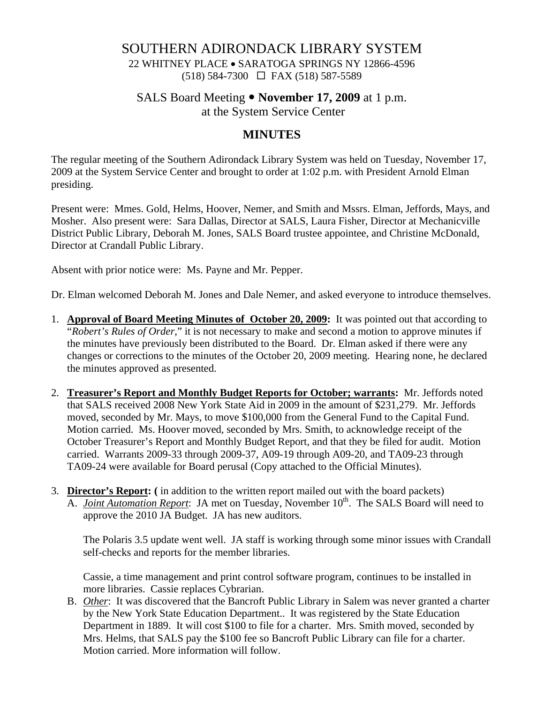## SOUTHERN ADIRONDACK LIBRARY SYSTEM

22 WHITNEY PLACE • SARATOGA SPRINGS NY 12866-4596 (518) 584-7300 FAX (518) 587-5589

#### SALS Board Meeting • **November 17, 2009** at 1 p.m.

at the System Service Center

### **MINUTES**

The regular meeting of the Southern Adirondack Library System was held on Tuesday, November 17, 2009 at the System Service Center and brought to order at 1:02 p.m. with President Arnold Elman presiding.

Present were: Mmes. Gold, Helms, Hoover, Nemer, and Smith and Mssrs. Elman, Jeffords, Mays, and Mosher. Also present were: Sara Dallas, Director at SALS, Laura Fisher, Director at Mechanicville District Public Library, Deborah M. Jones, SALS Board trustee appointee, and Christine McDonald, Director at Crandall Public Library.

Absent with prior notice were: Ms. Payne and Mr. Pepper.

Dr. Elman welcomed Deborah M. Jones and Dale Nemer, and asked everyone to introduce themselves.

- 1. **Approval of Board Meeting Minutes of October 20, 2009:** It was pointed out that according to "*Robert's Rules of Order*," it is not necessary to make and second a motion to approve minutes if the minutes have previously been distributed to the Board. Dr. Elman asked if there were any changes or corrections to the minutes of the October 20, 2009 meeting. Hearing none, he declared the minutes approved as presented.
- 2. **Treasurer's Report and Monthly Budget Reports for October; warrants:** Mr. Jeffords noted that SALS received 2008 New York State Aid in 2009 in the amount of \$231,279. Mr. Jeffords moved, seconded by Mr. Mays, to move \$100,000 from the General Fund to the Capital Fund. Motion carried. Ms. Hoover moved, seconded by Mrs. Smith, to acknowledge receipt of the October Treasurer's Report and Monthly Budget Report, and that they be filed for audit. Motion carried. Warrants 2009-33 through 2009-37, A09-19 through A09-20, and TA09-23 through TA09-24 were available for Board perusal (Copy attached to the Official Minutes).
- 3. **Director's Report: (** in addition to the written report mailed out with the board packets) A. *Joint Automation Report*: JA met on Tuesday, November 10<sup>th</sup>. The SALS Board will need to approve the 2010 JA Budget. JA has new auditors.

The Polaris 3.5 update went well. JA staff is working through some minor issues with Crandall self-checks and reports for the member libraries.

Cassie, a time management and print control software program, continues to be installed in more libraries. Cassie replaces Cybrarian.

B. *Other*: It was discovered that the Bancroft Public Library in Salem was never granted a charter by the New York State Education Department.. It was registered by the State Education Department in 1889. It will cost \$100 to file for a charter. Mrs. Smith moved, seconded by Mrs. Helms, that SALS pay the \$100 fee so Bancroft Public Library can file for a charter. Motion carried. More information will follow.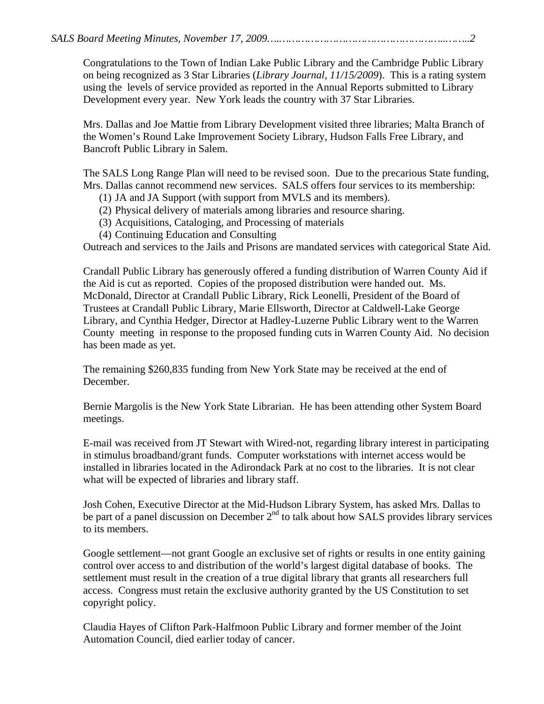*SALS Board Meeting Minutes, November 17, 2009….……………………………………………..……..2* 

Congratulations to the Town of Indian Lake Public Library and the Cambridge Public Library on being recognized as 3 Star Libraries (*Library Journal, 11/15/2009*). This is a rating system using the levels of service provided as reported in the Annual Reports submitted to Library Development every year. New York leads the country with 37 Star Libraries.

 Mrs. Dallas and Joe Mattie from Library Development visited three libraries; Malta Branch of the Women's Round Lake Improvement Society Library, Hudson Falls Free Library, and Bancroft Public Library in Salem.

The SALS Long Range Plan will need to be revised soon. Due to the precarious State funding, Mrs. Dallas cannot recommend new services. SALS offers four services to its membership:

- (1) JA and JA Support (with support from MVLS and its members).
- (2) Physical delivery of materials among libraries and resource sharing.
- (3) Acquisitions, Cataloging, and Processing of materials
- (4) Continuing Education and Consulting

Outreach and services to the Jails and Prisons are mandated services with categorical State Aid.

Crandall Public Library has generously offered a funding distribution of Warren County Aid if the Aid is cut as reported. Copies of the proposed distribution were handed out. Ms. McDonald, Director at Crandall Public Library, Rick Leonelli, President of the Board of Trustees at Crandall Public Library, Marie Ellsworth, Director at Caldwell-Lake George Library, and Cynthia Hedger, Director at Hadley-Luzerne Public Library went to the Warren County meeting in response to the proposed funding cuts in Warren County Aid. No decision has been made as yet.

The remaining \$260,835 funding from New York State may be received at the end of December.

Bernie Margolis is the New York State Librarian. He has been attending other System Board meetings.

E-mail was received from JT Stewart with Wired-not, regarding library interest in participating in stimulus broadband/grant funds. Computer workstations with internet access would be installed in libraries located in the Adirondack Park at no cost to the libraries. It is not clear what will be expected of libraries and library staff.

Josh Cohen, Executive Director at the Mid-Hudson Library System, has asked Mrs. Dallas to be part of a panel discussion on December  $2<sup>nd</sup>$  to talk about how SALS provides library services to its members.

Google settlement—not grant Google an exclusive set of rights or results in one entity gaining control over access to and distribution of the world's largest digital database of books. The settlement must result in the creation of a true digital library that grants all researchers full access. Congress must retain the exclusive authority granted by the US Constitution to set copyright policy.

Claudia Hayes of Clifton Park-Halfmoon Public Library and former member of the Joint Automation Council, died earlier today of cancer.